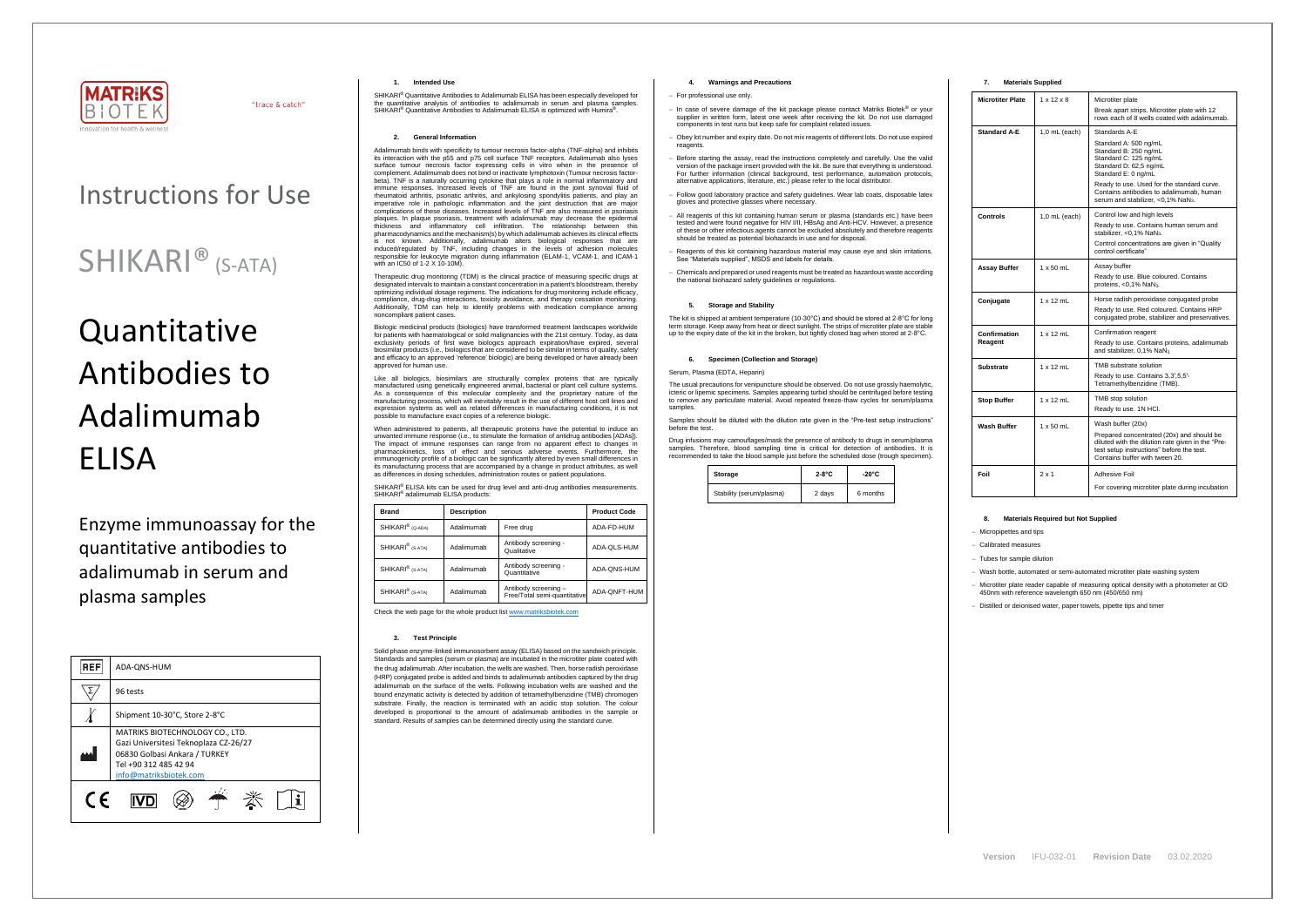

"trace & catch"

## Instructions for Use

### SHIKARI® (S-ATA)

# Quantitative Antibodies to Adalimumab ELISA

Enzyme immunoassay for the quantitative antibodies to adalimumab in serum and plasma samples

SHIKARI® Quantitative Antibodies to Adalimumab ELISA has been especially developed for the quantitative analysis of antibodies to adalimumab in serum and plasma samples. SHIKARI<sup>®</sup> Quantitative Antibodies to Adalimumab ELISA is optimized with Humira<sup>®</sup>.

| <b>REF</b> | ADA-QNS-HUM                                                                                                                                                  |  |  |  |  |
|------------|--------------------------------------------------------------------------------------------------------------------------------------------------------------|--|--|--|--|
|            | 96 tests                                                                                                                                                     |  |  |  |  |
|            | Shipment 10-30°C, Store 2-8°C                                                                                                                                |  |  |  |  |
|            | MATRIKS BIOTECHNOLOGY CO., LTD.<br>Gazi Universitesi Teknoplaza CZ-26/27<br>06830 Golbasi Ankara / TURKEY<br>Tel +90 312 485 42 94<br>info@matriksbiotek.com |  |  |  |  |
| $\epsilon$ |                                                                                                                                                              |  |  |  |  |

#### **1. Intended Use**

#### **2. General Information**

Adalimumab binds with specificity to tumour necrosis factor-alpha (TNF-alpha) and inhibits its interaction with the p55 and p75 cell surface TNF receptors. Adalimumab also lyses surface tumour necrosis factor expressing cells in vitro when in the presence of complement. Adalimumab does not bind or inactivate lymphotoxin (Tumour necrosis factorbeta). TNF is a naturally occurring cytokine that plays a role in normal inflammatory and immune responses. Increased levels of TNF are found in the joint synovial fluid of rheumatoid arthritis, psoriatic arthritis, and ankylosing spondylitis patients, and play an imperative role in pathologic inflammation and the joint destruction that are major complications of these diseases. Increased levels of TNF are also measured in psoriasis plaques. In plaque psoriasis, treatment with adalimumab may decrease the epidermal thickness and inflammatory cell infiltration. The relationship between this pharmacodynamics and the mechanism(s) by which adalimumab achieves its clinical effects is not known. Additionally, adalimumab alters biological responses that are induced/regulated by TNF, including changes in the levels of adhesion molecules responsible for leukocyte migration during inflammation (ELAM-1, VCAM-1, and ICAM-1 with an IC50 of 1-2 X 10-10M).

SHIKARI® ELISA kits can be used for drug level and anti-drug antibodies measurements. SHIKARI® adalimumab ELISA products:

Therapeutic drug monitoring (TDM) is the clinical practice of measuring specific drugs at designated intervals to maintain a constant concentration in a patient's bloodstream, thereby optimizing individual dosage regimens. The indications for drug monitoring include efficacy, compliance, drug-drug interactions, toxicity avoidance, and therapy cessation monitoring. Additionally, TDM can help to identify problems with medication compliance among noncompliant patient cases.

Biologic medicinal products (biologics) have transformed treatment landscapes worldwide for patients with haematological or solid malignancies with the 21st century. Today, as data exclusivity periods of first wave biologics approach expiration/have expired, several biosimilar products (i.e., biologics that are considered to be similar in terms of quality, safety and efficacy to an approved 'reference' biologic) are being developed or have already been approved for human use.

Like all biologics, biosimilars are structurally complex proteins that are typically manufactured using genetically engineered animal, bacterial or plant cell culture systems. As a consequence of this molecular complexity and the proprietary nature of the manufacturing process, which will inevitably result in the use of different host cell lines and expression systems as well as related differences in manufacturing conditions, it is not possible to manufacture exact copies of a reference biologic.

The usual precautions for venipuncture should be observed. Do not use grossly haemolytic, icteric or lipemic specimens. Samples appearing turbid should be centrifuged before testing to remove any particulate material. Avoid repeated freeze-thaw cycles for serum/plasma samples

When administered to patients, all therapeutic proteins have the potential to induce an unwanted immune response (i.e., to stimulate the formation of antidrug antibodies [ADAs]). The impact of immune responses can range from no apparent effect to changes in pharmacokinetics, loss of effect and serious adverse events. Furthermore, the immunogenicity profile of a biologic can be significantly altered by even small differences in its manufacturing process that are accompanied by a change in product attributes, as well as differences in dosing schedules, administration routes or patient populations.

| <b>Brand</b>                 | <b>Description</b> |                                                      | <b>Product Code</b> |
|------------------------------|--------------------|------------------------------------------------------|---------------------|
| SHIKARI <sup>®</sup> (Q-ADA) | Adalimumab         | Free drug                                            | ADA-FD-HUM          |
| SHIKARI <sup>®</sup> (S-ATA) | Adalimumab         | Antibody screening -<br>Qualitative                  | ADA-QLS-HUM         |
| SHIKARI <sup>®</sup> (S-ATA) | Adalimumab         | Antibody screening -<br>Quantitative                 | ADA-QNS-HUM         |
| SHIKARI <sup>®</sup> (S-ATA) | Adalimumab         | Antibody screening -<br>Free/Total semi-quantitative | ADA-QNFT-HUM        |

Check the web page for the whole product lis[t www.matriksbiotek.com](http://www.matriksbiotek.com/)

#### **3. Test Principle**

Microtiter plate reader capable of measuring optical density with a photometer at OD 450nm with reference wavelength 650 nm (450/650 nm)

Solid phase enzyme-linked immunosorbent assay (ELISA) based on the sandwich principle. Standards and samples (serum or plasma) are incubated in the microtiter plate coated with the drug adalimumab. After incubation, the wells are washed. Then, horse radish peroxidase (HRP) conjugated probe is added and binds to adalimumab antibodies captured by the drug adalimumab on the surface of the wells. Following incubation wells are washed and the bound enzymatic activity is detected by addition of tetramethylbenzidine (TMB) chromogen substrate. Finally, the reaction is terminated with an acidic stop solution. The colour developed is proportional to the amount of adalimumab antibodies in the sample or standard. Results of samples can be determined directly using the standard curve.

#### **4. Warnings and Precautions**

- − For professional use only.
- − In case of severe damage of the kit package please contact Matriks Biotek® or your supplier in written form, latest one week after receiving the kit. Do not use damaged components in test runs but keep safe for complaint related issues.
- Obey lot number and expiry date. Do not mix reagents of different lots. Do not use expired reagents
- Before starting the assay, read the instructions completely and carefully. Use the valid version of the package insert provided with the kit. Be sure that everything is understood. For further information (clinical background, test performance, automation protocols, alternative applications, literature, etc.) please refer to the local distributor.
- − Follow good laboratory practice and safety guidelines. Wear lab coats, disposable latex gloves and protective glasses where necessary.
- All reagents of this kit containing human serum or plasma (standards etc.) have been tested and were found negative for HIV I/II, HBsAg and Anti-HCV. However, a presence of these or other infectious agents cannot be excluded absolutely and therefore reagents should be treated as potential biohazards in use and for disposal.
- − Reagents of this kit containing hazardous material may cause eye and skin irritations. See "Materials supplied", MSDS and labels for details.
- − Chemicals and prepared or used reagents must be treated as hazardous waste according the national biohazard safety guidelines or regulations.

#### **5. Storage and Stability**

The kit is shipped at ambient temperature (10-30°C) and should be stored at 2-8°C for long m storage. Keep away from heat or direct sunlight. The strips of microtiter plate are stable up to the expiry date of the kit in the broken, but tightly closed bag when stored at 2-8°C.

#### **6. Specimen (Collection and Storage)**

#### Serum, Plasma (EDTA, Heparin)

Samples should be diluted with the dilution rate given in the "Pre-test setup instructions" before the test.

Drug infusions may camouflages/mask the presence of antibody to drugs in serum/plasma samples. Therefore, blood sampling time is critical for detection of antibodies. It is recommended to take the blood sample just before the scheduled dose (trough specimen).

| Storage                  | $2-8$ °C | $-20^{\circ}$ C |  |
|--------------------------|----------|-----------------|--|
| Stability (serum/plasma) | 2 days   | 6 months        |  |

| 7. | <b>Materials Supplied</b> |  |
|----|---------------------------|--|
|----|---------------------------|--|

| <b>Microtiter Plate</b> | $1 \times 12 \times 8$                                                                                                                                                                                                                                                                                   | Microtiter plate<br>Break apart strips. Microtiter plate with 12<br>rows each of 8 wells coated with adalimumab.                                                                                   |  |
|-------------------------|----------------------------------------------------------------------------------------------------------------------------------------------------------------------------------------------------------------------------------------------------------------------------------------------------------|----------------------------------------------------------------------------------------------------------------------------------------------------------------------------------------------------|--|
| <b>Standard A-E</b>     | $1,0$ mL (each)<br>Standards A-E<br>Standard A: 500 ng/mL<br>Standard B: 250 ng/mL<br>Standard C: 125 ng/mL<br>Standard D: 62,5 ng/mL<br>Standard E: 0 ng/mL<br>Ready to use. Used for the standard curve.<br>Contains antibodies to adalimumab, human<br>serum and stabilizer, <0,1% NaN <sub>3</sub> . |                                                                                                                                                                                                    |  |
| Controls                | Control low and high levels<br>1,0 mL (each)<br>Ready to use. Contains human serum and<br>stabilizer, <0,1% NaN <sub>3</sub> .<br>Control concentrations are given in "Quality"<br>control certificate"                                                                                                  |                                                                                                                                                                                                    |  |
| Assay Buffer            | $1 \times 50$ mL                                                                                                                                                                                                                                                                                         | Assay buffer<br>Ready to use. Blue coloured. Contains<br>proteins, $<$ 0,1% NaN <sub>3</sub> .                                                                                                     |  |
| Conjugate               | $1 \times 12$ mL                                                                                                                                                                                                                                                                                         | Horse radish peroxidase conjugated probe<br>Ready to use, Red coloured, Contains HRP<br>conjugated probe, stabilizer and preservatives.                                                            |  |
| Confirmation<br>Reagent | $1 \times 12$ mL                                                                                                                                                                                                                                                                                         | Confirmation reagent<br>Ready to use. Contains proteins, adalimumab<br>and stabilizer, 0,1% NaN <sub>3</sub>                                                                                       |  |
| Substrate               | $1 \times 12$ mL                                                                                                                                                                                                                                                                                         | TMB substrate solution<br>Ready to use. Contains 3,3',5,5'-<br>Tetramethylbenzidine (TMB).                                                                                                         |  |
| <b>Stop Buffer</b>      | $1 \times 12$ mL                                                                                                                                                                                                                                                                                         | TMB stop solution<br>Ready to use. 1N HCl.                                                                                                                                                         |  |
| Wash Buffer             | $1 \times 50$ mL                                                                                                                                                                                                                                                                                         | Wash buffer (20x)<br>Prepared concentrated (20x) and should be<br>diluted with the dilution rate given in the "Pre-<br>test setup instructions" before the test.<br>Contains buffer with tween 20. |  |
| Foil                    | $2 \times 1$                                                                                                                                                                                                                                                                                             | Adhesive Foil<br>For covering microtiter plate during incubation                                                                                                                                   |  |

#### **8. Materials Required but Not Supplied**

− Micropipettes and tips

− Calibrated measures

− Tubes for sample dilution

− Wash bottle, automated or semi-automated microtiter plate washing system

− Distilled or deionised water, paper towels, pipette tips and timer